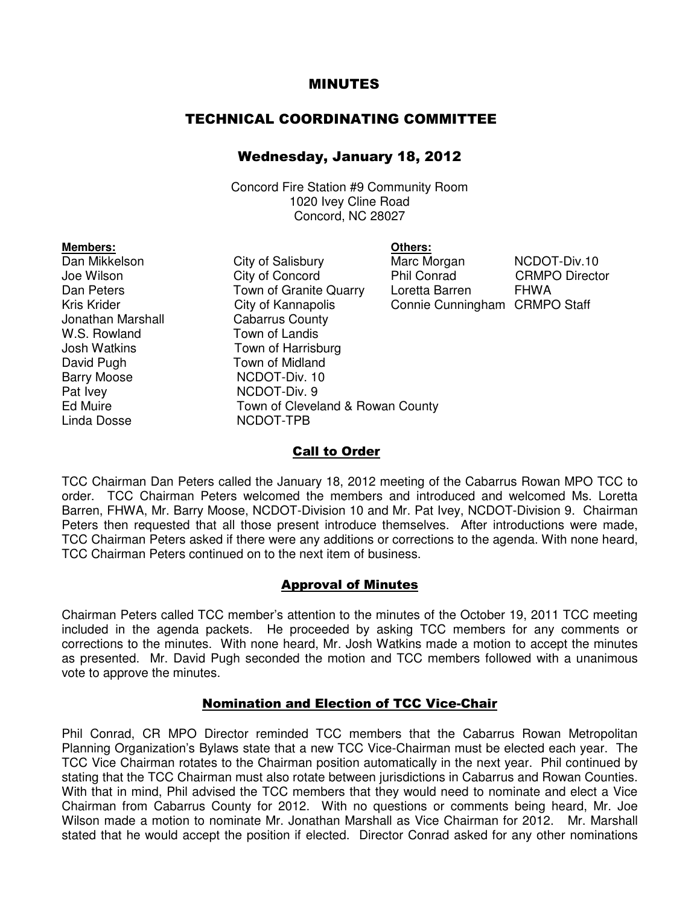### MINUTES

# TECHNICAL COORDINATING COMMITTEE

# Wednesday, January 18, 2012

Concord Fire Station #9 Community Room 1020 Ivey Cline Road Concord, NC 28027

|                                  | Others:         |
|----------------------------------|-----------------|
| City of Salisbury                | Marc Mo         |
| City of Concord                  | <b>Phil Cor</b> |
| Town of Granite Quarry           | Loretta I       |
| City of Kannapolis               | Connie          |
| <b>Cabarrus County</b>           |                 |
| Town of Landis                   |                 |
| Town of Harrisburg               |                 |
| Town of Midland                  |                 |
| NCDOT-Div. 10                    |                 |
| NCDOT-Div. 9                     |                 |
| Town of Cleveland & Rowan County |                 |
| NCDOT-TPB                        |                 |
|                                  |                 |

City of Salisbury Marc Morgan NCDOT-Div.10 City of Concord Phil Conrad CRMPO Director Town of Granite Quarry Loretta Barren FHWA City of Kannapolis Connie Cunningham CRMPO Staff **Cabarrus County** Town of Landis Town of Harrisburg Town of Midland NCDOT-Div. 10 NCDOT-Div. 9 Town of Cleveland & Rowan County NCDOT-TPB

#### Call to Order

TCC Chairman Dan Peters called the January 18, 2012 meeting of the Cabarrus Rowan MPO TCC to order. TCC Chairman Peters welcomed the members and introduced and welcomed Ms. Loretta Barren, FHWA, Mr. Barry Moose, NCDOT-Division 10 and Mr. Pat Ivey, NCDOT-Division 9. Chairman Peters then requested that all those present introduce themselves. After introductions were made, TCC Chairman Peters asked if there were any additions or corrections to the agenda. With none heard, TCC Chairman Peters continued on to the next item of business.

#### Approval of Minutes

Chairman Peters called TCC member's attention to the minutes of the October 19, 2011 TCC meeting included in the agenda packets. He proceeded by asking TCC members for any comments or corrections to the minutes. With none heard, Mr. Josh Watkins made a motion to accept the minutes as presented. Mr. David Pugh seconded the motion and TCC members followed with a unanimous vote to approve the minutes.

### Nomination and Election of TCC Vice-Chair

Phil Conrad, CR MPO Director reminded TCC members that the Cabarrus Rowan Metropolitan Planning Organization's Bylaws state that a new TCC Vice-Chairman must be elected each year. The TCC Vice Chairman rotates to the Chairman position automatically in the next year. Phil continued by stating that the TCC Chairman must also rotate between jurisdictions in Cabarrus and Rowan Counties. With that in mind, Phil advised the TCC members that they would need to nominate and elect a Vice Chairman from Cabarrus County for 2012. With no questions or comments being heard, Mr. Joe Wilson made a motion to nominate Mr. Jonathan Marshall as Vice Chairman for 2012. Mr. Marshall stated that he would accept the position if elected. Director Conrad asked for any other nominations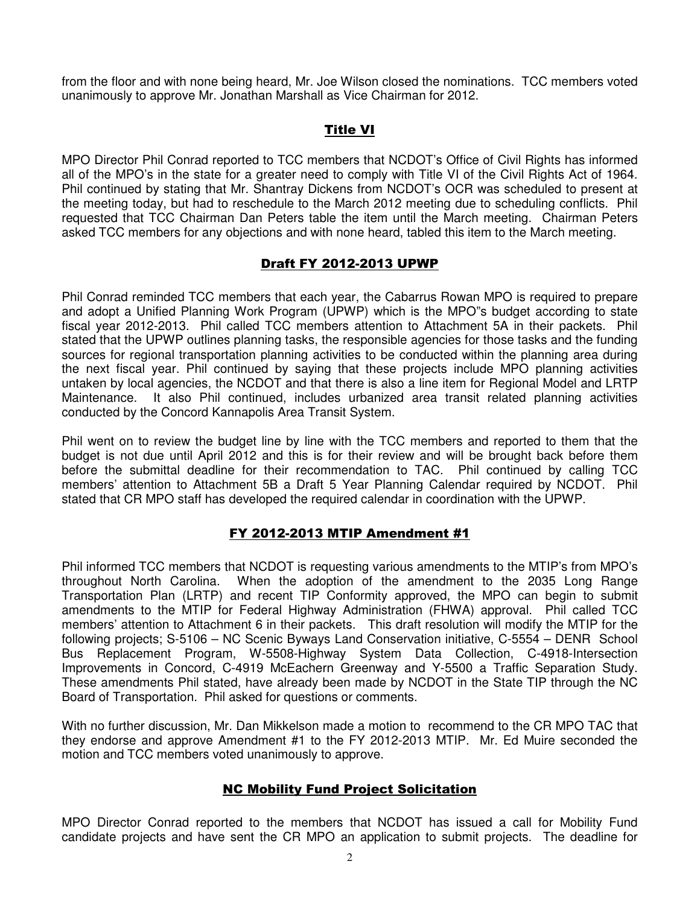from the floor and with none being heard, Mr. Joe Wilson closed the nominations. TCC members voted unanimously to approve Mr. Jonathan Marshall as Vice Chairman for 2012.

# Title VI

MPO Director Phil Conrad reported to TCC members that NCDOT's Office of Civil Rights has informed all of the MPO's in the state for a greater need to comply with Title VI of the Civil Rights Act of 1964. Phil continued by stating that Mr. Shantray Dickens from NCDOT's OCR was scheduled to present at the meeting today, but had to reschedule to the March 2012 meeting due to scheduling conflicts. Phil requested that TCC Chairman Dan Peters table the item until the March meeting. Chairman Peters asked TCC members for any objections and with none heard, tabled this item to the March meeting.

## Draft FY 2012-2013 UPWP

Phil Conrad reminded TCC members that each year, the Cabarrus Rowan MPO is required to prepare and adopt a Unified Planning Work Program (UPWP) which is the MPO"s budget according to state fiscal year 2012-2013. Phil called TCC members attention to Attachment 5A in their packets. Phil stated that the UPWP outlines planning tasks, the responsible agencies for those tasks and the funding sources for regional transportation planning activities to be conducted within the planning area during the next fiscal year. Phil continued by saying that these projects include MPO planning activities untaken by local agencies, the NCDOT and that there is also a line item for Regional Model and LRTP Maintenance. It also Phil continued, includes urbanized area transit related planning activities conducted by the Concord Kannapolis Area Transit System.

Phil went on to review the budget line by line with the TCC members and reported to them that the budget is not due until April 2012 and this is for their review and will be brought back before them before the submittal deadline for their recommendation to TAC. Phil continued by calling TCC members' attention to Attachment 5B a Draft 5 Year Planning Calendar required by NCDOT. Phil stated that CR MPO staff has developed the required calendar in coordination with the UPWP.

# FY 2012-2013 MTIP Amendment #1

Phil informed TCC members that NCDOT is requesting various amendments to the MTIP's from MPO's throughout North Carolina. When the adoption of the amendment to the 2035 Long Range Transportation Plan (LRTP) and recent TIP Conformity approved, the MPO can begin to submit amendments to the MTIP for Federal Highway Administration (FHWA) approval. Phil called TCC members' attention to Attachment 6 in their packets. This draft resolution will modify the MTIP for the following projects; S-5106 – NC Scenic Byways Land Conservation initiative, C-5554 – DENR School Bus Replacement Program, W-5508-Highway System Data Collection, C-4918-Intersection Improvements in Concord, C-4919 McEachern Greenway and Y-5500 a Traffic Separation Study. These amendments Phil stated, have already been made by NCDOT in the State TIP through the NC Board of Transportation. Phil asked for questions or comments.

With no further discussion, Mr. Dan Mikkelson made a motion to recommend to the CR MPO TAC that they endorse and approve Amendment #1 to the FY 2012-2013 MTIP. Mr. Ed Muire seconded the motion and TCC members voted unanimously to approve.

# NC Mobility Fund Project Solicitation

MPO Director Conrad reported to the members that NCDOT has issued a call for Mobility Fund candidate projects and have sent the CR MPO an application to submit projects. The deadline for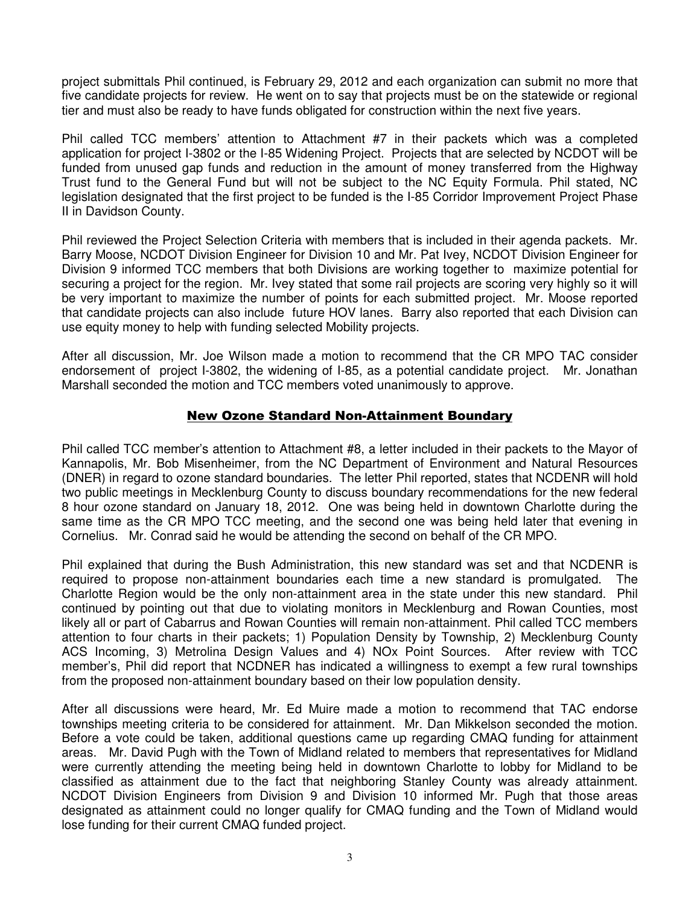project submittals Phil continued, is February 29, 2012 and each organization can submit no more that five candidate projects for review. He went on to say that projects must be on the statewide or regional tier and must also be ready to have funds obligated for construction within the next five years.

Phil called TCC members' attention to Attachment #7 in their packets which was a completed application for project I-3802 or the I-85 Widening Project. Projects that are selected by NCDOT will be funded from unused gap funds and reduction in the amount of money transferred from the Highway Trust fund to the General Fund but will not be subject to the NC Equity Formula. Phil stated, NC legislation designated that the first project to be funded is the I-85 Corridor Improvement Project Phase II in Davidson County.

Phil reviewed the Project Selection Criteria with members that is included in their agenda packets. Mr. Barry Moose, NCDOT Division Engineer for Division 10 and Mr. Pat Ivey, NCDOT Division Engineer for Division 9 informed TCC members that both Divisions are working together to maximize potential for securing a project for the region. Mr. Ivey stated that some rail projects are scoring very highly so it will be very important to maximize the number of points for each submitted project. Mr. Moose reported that candidate projects can also include future HOV lanes. Barry also reported that each Division can use equity money to help with funding selected Mobility projects.

After all discussion, Mr. Joe Wilson made a motion to recommend that the CR MPO TAC consider endorsement of project I-3802, the widening of I-85, as a potential candidate project. Mr. Jonathan Marshall seconded the motion and TCC members voted unanimously to approve.

### New Ozone Standard Non-Attainment Boundary

Phil called TCC member's attention to Attachment #8, a letter included in their packets to the Mayor of Kannapolis, Mr. Bob Misenheimer, from the NC Department of Environment and Natural Resources (DNER) in regard to ozone standard boundaries. The letter Phil reported, states that NCDENR will hold two public meetings in Mecklenburg County to discuss boundary recommendations for the new federal 8 hour ozone standard on January 18, 2012. One was being held in downtown Charlotte during the same time as the CR MPO TCC meeting, and the second one was being held later that evening in Cornelius. Mr. Conrad said he would be attending the second on behalf of the CR MPO.

Phil explained that during the Bush Administration, this new standard was set and that NCDENR is required to propose non-attainment boundaries each time a new standard is promulgated. The Charlotte Region would be the only non-attainment area in the state under this new standard. Phil continued by pointing out that due to violating monitors in Mecklenburg and Rowan Counties, most likely all or part of Cabarrus and Rowan Counties will remain non-attainment. Phil called TCC members attention to four charts in their packets; 1) Population Density by Township, 2) Mecklenburg County ACS Incoming, 3) Metrolina Design Values and 4) NOx Point Sources. After review with TCC member's, Phil did report that NCDNER has indicated a willingness to exempt a few rural townships from the proposed non-attainment boundary based on their low population density.

After all discussions were heard, Mr. Ed Muire made a motion to recommend that TAC endorse townships meeting criteria to be considered for attainment. Mr. Dan Mikkelson seconded the motion. Before a vote could be taken, additional questions came up regarding CMAQ funding for attainment areas. Mr. David Pugh with the Town of Midland related to members that representatives for Midland were currently attending the meeting being held in downtown Charlotte to lobby for Midland to be classified as attainment due to the fact that neighboring Stanley County was already attainment. NCDOT Division Engineers from Division 9 and Division 10 informed Mr. Pugh that those areas designated as attainment could no longer qualify for CMAQ funding and the Town of Midland would lose funding for their current CMAQ funded project.